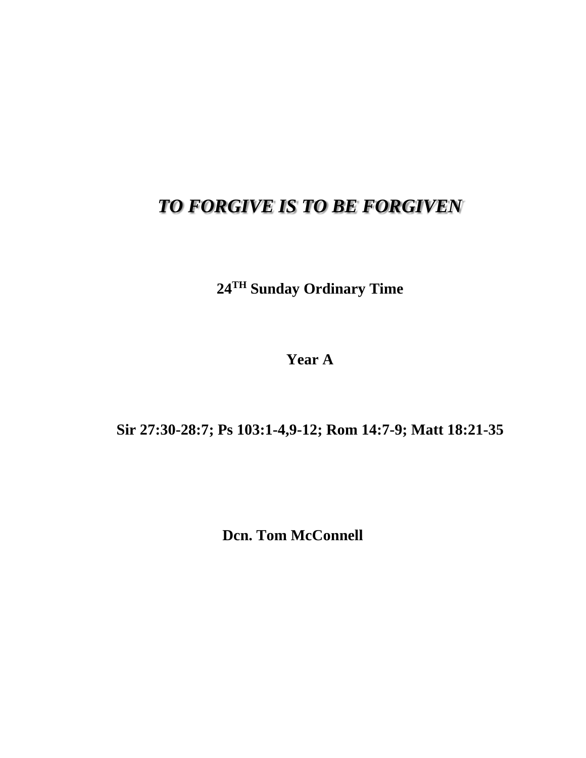## *TO FORGIVE IS TO BE FORGIVEN*

**24TH Sunday Ordinary Time**

**Year A**

## **Sir 27:30-28:7; Ps 103:1-4,9-12; Rom 14:7-9; Matt 18:21-35**

**Dcn. Tom McConnell**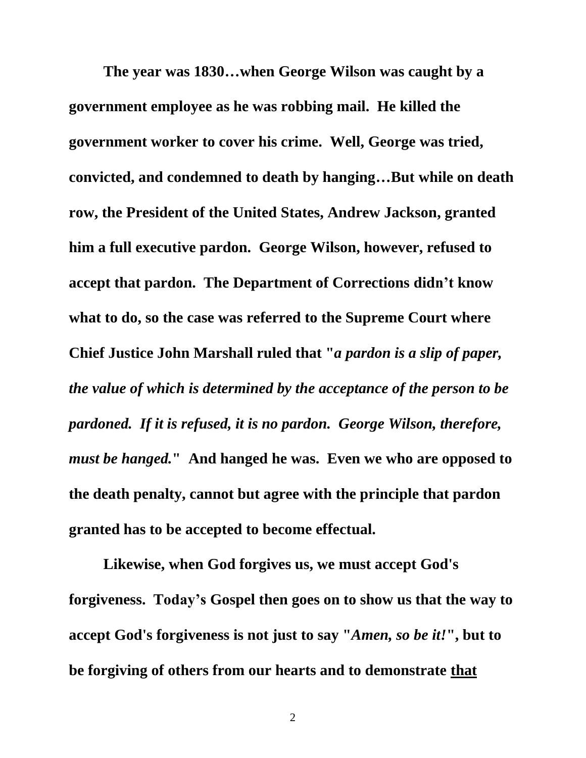**The year was 1830…when George Wilson was caught by a government employee as he was robbing mail. He killed the government worker to cover his crime. Well, George was tried, convicted, and condemned to death by hanging…But while on death row, the President of the United States, Andrew Jackson, granted him a full executive pardon. George Wilson, however, refused to accept that pardon. The Department of Corrections didn't know what to do, so the case was referred to the Supreme Court where Chief Justice John Marshall ruled that "***a pardon is a slip of paper, the value of which is determined by the acceptance of the person to be pardoned. If it is refused, it is no pardon. George Wilson, therefore, must be hanged.***" And hanged he was. Even we who are opposed to the death penalty, cannot but agree with the principle that pardon granted has to be accepted to become effectual.**

**Likewise, when God forgives us, we must accept God's forgiveness. Today's Gospel then goes on to show us that the way to accept God's forgiveness is not just to say "***Amen, so be it!***", but to be forgiving of others from our hearts and to demonstrate that**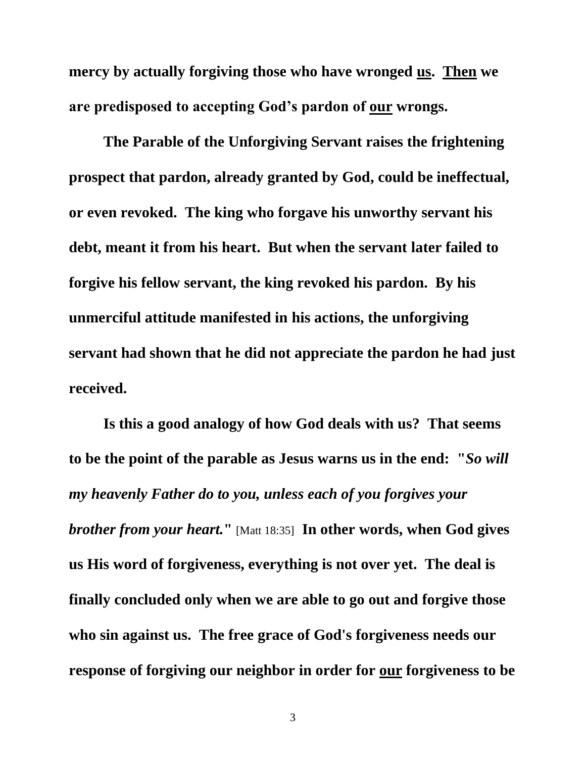**mercy by actually forgiving those who have wronged us. Then we are predisposed to accepting God's pardon of our wrongs.**

**The Parable of the Unforgiving Servant raises the frightening prospect that pardon, already granted by God, could be ineffectual, or even revoked. The king who forgave his unworthy servant his debt, meant it from his heart. But when the servant later failed to forgive his fellow servant, the king revoked his pardon. By his unmerciful attitude manifested in his actions, the unforgiving servant had shown that he did not appreciate the pardon he had just received.**

**Is this a good analogy of how God deals with us? That seems to be the point of the parable as Jesus warns us in the end: "***So will my heavenly Father do to you, unless each of you forgives your brother from your heart.***"** [Matt 18:35] **In other words, when God gives us His word of forgiveness, everything is not over yet. The deal is finally concluded only when we are able to go out and forgive those who sin against us. The free grace of God's forgiveness needs our response of forgiving our neighbor in order for our forgiveness to be**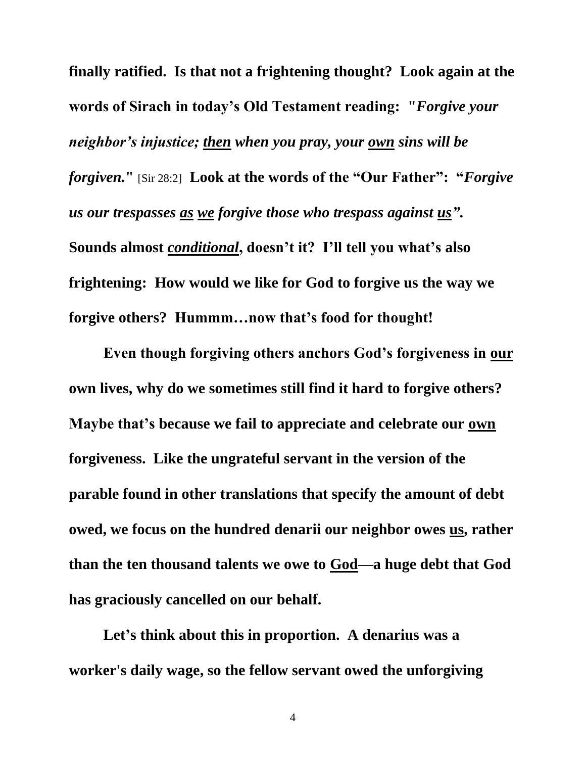**finally ratified. Is that not a frightening thought? Look again at the words of Sirach in today's Old Testament reading: "***Forgive your neighbor's injustice; then when you pray, your own sins will be forgiven.***"** [Sir 28:2] **Look at the words of the "Our Father": "***Forgive us our trespasses as we forgive those who trespass against us"***. Sounds almost** *conditional***, doesn't it? I'll tell you what's also frightening: How would we like for God to forgive us the way we forgive others? Hummm…now that's food for thought!**

**Even though forgiving others anchors God's forgiveness in our own lives, why do we sometimes still find it hard to forgive others? Maybe that's because we fail to appreciate and celebrate our own forgiveness. Like the ungrateful servant in the version of the parable found in other translations that specify the amount of debt owed, we focus on the hundred denarii our neighbor owes us, rather than the ten thousand talents we owe to God—a huge debt that God has graciously cancelled on our behalf.**

**Let's think about this in proportion. A denarius was a worker's daily wage, so the fellow servant owed the unforgiving**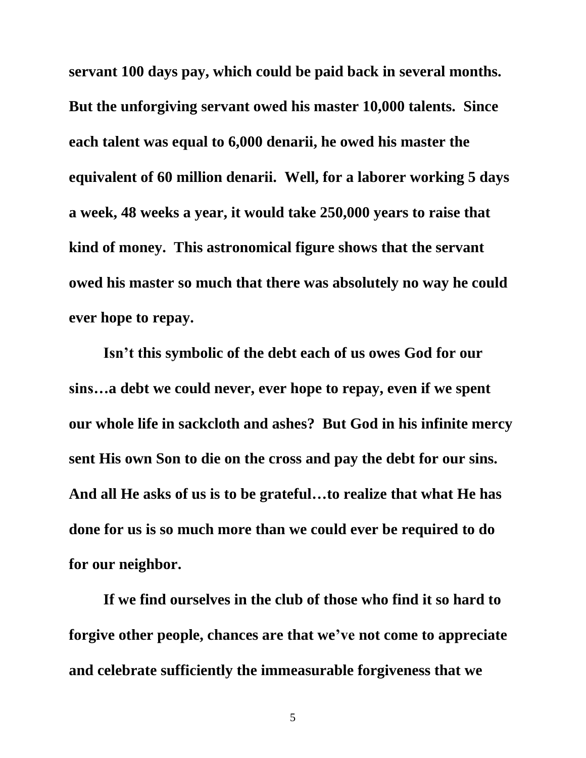**servant 100 days pay, which could be paid back in several months. But the unforgiving servant owed his master 10,000 talents. Since each talent was equal to 6,000 denarii, he owed his master the equivalent of 60 million denarii. Well, for a laborer working 5 days a week, 48 weeks a year, it would take 250,000 years to raise that kind of money. This astronomical figure shows that the servant owed his master so much that there was absolutely no way he could ever hope to repay.**

**Isn't this symbolic of the debt each of us owes God for our sins…a debt we could never, ever hope to repay, even if we spent our whole life in sackcloth and ashes? But God in his infinite mercy sent His own Son to die on the cross and pay the debt for our sins. And all He asks of us is to be grateful…to realize that what He has done for us is so much more than we could ever be required to do for our neighbor.**

**If we find ourselves in the club of those who find it so hard to forgive other people, chances are that we've not come to appreciate and celebrate sufficiently the immeasurable forgiveness that we**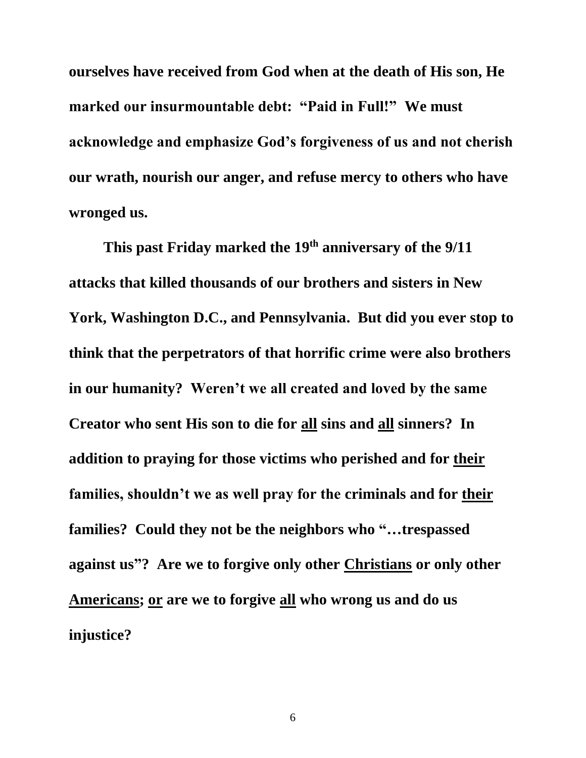**ourselves have received from God when at the death of His son, He marked our insurmountable debt: "Paid in Full!" We must acknowledge and emphasize God's forgiveness of us and not cherish our wrath, nourish our anger, and refuse mercy to others who have wronged us.**

**This past Friday marked the 19 th anniversary of the 9/11 attacks that killed thousands of our brothers and sisters in New York, Washington D.C., and Pennsylvania. But did you ever stop to think that the perpetrators of that horrific crime were also brothers in our humanity? Weren't we all created and loved by the same Creator who sent His son to die for all sins and all sinners? In addition to praying for those victims who perished and for their families, shouldn't we as well pray for the criminals and for their families? Could they not be the neighbors who "…trespassed against us"? Are we to forgive only other Christians or only other Americans; or are we to forgive all who wrong us and do us injustice?**